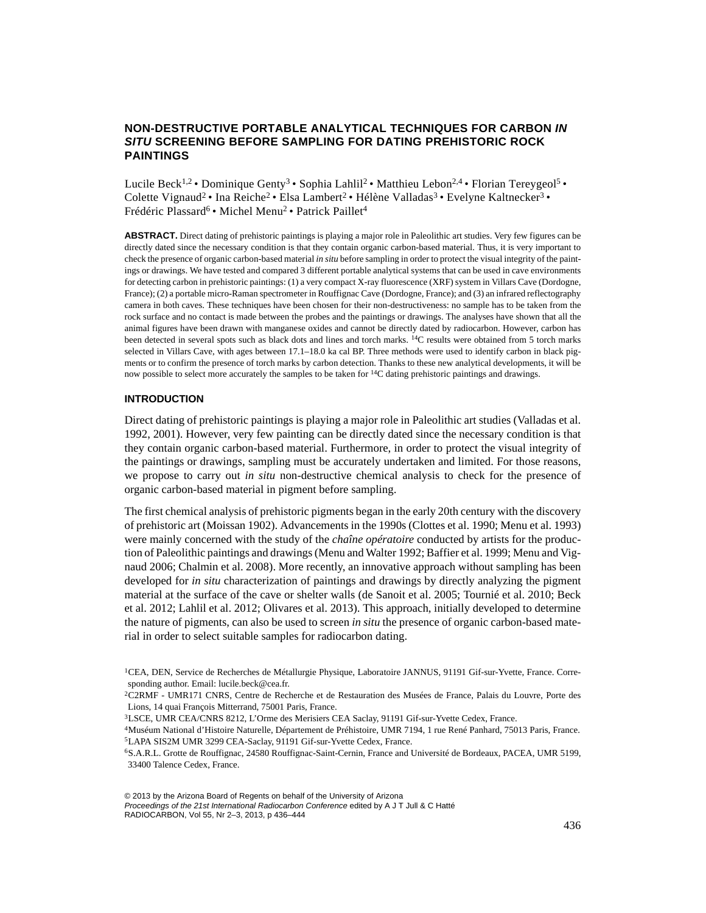# **NON-DESTRUCTIVE PORTABLE ANALYTICAL TECHNIQUES FOR CARBON** *IN SITU* **SCREENING BEFORE SAMPLING FOR DATING PREHISTORIC ROCK PAINTINGS**

Lucile Beck<sup>1,2</sup> • Dominique Genty<sup>3</sup> • Sophia Lahlil<sup>2</sup> • Matthieu Lebon<sup>2,4</sup> • Florian Tereygeol<sup>5</sup> • Colette Vignaud<sup>2</sup> • Ina Reiche<sup>2</sup> • Elsa Lambert<sup>2</sup> • Hélène Valladas<sup>3</sup> • Evelyne Kaltnecker<sup>3</sup> • Frédéric Plassard<sup>6</sup> • Michel Menu<sup>2</sup> • Patrick Paillet<sup>4</sup>

**ABSTRACT.** Direct dating of prehistoric paintings is playing a major role in Paleolithic art studies. Very few figures can be directly dated since the necessary condition is that they contain organic carbon-based material. Thus, it is very important to check the presence of organic carbon-based material *in situ* before sampling in order to protect the visual integrity of the paintings or drawings. We have tested and compared 3 different portable analytical systems that can be used in cave environments for detecting carbon in prehistoric paintings: (1) a very compact X-ray fluorescence (XRF) system in Villars Cave (Dordogne, France); (2) a portable micro-Raman spectrometer in Rouffignac Cave (Dordogne, France); and (3) an infrared reflectography camera in both caves. These techniques have been chosen for their non-destructiveness: no sample has to be taken from the rock surface and no contact is made between the probes and the paintings or drawings. The analyses have shown that all the animal figures have been drawn with manganese oxides and cannot be directly dated by radiocarbon. However, carbon has been detected in several spots such as black dots and lines and torch marks. 14C results were obtained from 5 torch marks selected in Villars Cave, with ages between 17.1–18.0 ka cal BP. Three methods were used to identify carbon in black pigments or to confirm the presence of torch marks by carbon detection. Thanks to these new analytical developments, it will be now possible to select more accurately the samples to be taken for <sup>14</sup>C dating prehistoric paintings and drawings.

## **INTRODUCTION**

Direct dating of prehistoric paintings is playing a major role in Paleolithic art studies (Valladas et al. 1992, 2001). However, very few painting can be directly dated since the necessary condition is that they contain organic carbon-based material. Furthermore, in order to protect the visual integrity of the paintings or drawings, sampling must be accurately undertaken and limited. For those reasons, we propose to carry out *in situ* non-destructive chemical analysis to check for the presence of organic carbon-based material in pigment before sampling.

The first chemical analysis of prehistoric pigments began in the early 20th century with the discovery of prehistoric art (Moissan 1902). Advancements in the 1990s (Clottes et al. 1990; Menu et al. 1993) were mainly concerned with the study of the *chaîne opératoire* conducted by artists for the production of Paleolithic paintings and drawings (Menu and Walter 1992; Baffier et al. 1999; Menu and Vignaud 2006; Chalmin et al. 2008). More recently, an innovative approach without sampling has been developed for *in situ* characterization of paintings and drawings by directly analyzing the pigment material at the surface of the cave or shelter walls (de Sanoit et al. 2005; Tournié et al. 2010; Beck et al. 2012; Lahlil et al. 2012; Olivares et al. 2013). This approach, initially developed to determine the nature of pigments, can also be used to screen *in situ* the presence of organic carbon-based material in order to select suitable samples for radiocarbon dating.

<sup>&</sup>lt;sup>1</sup>CEA, DEN, Service de Recherches de Métallurgie Physique, Laboratoire JANNUS, 91191 Gif-sur-Yvette, France. Corresponding author. Email: lucile.beck@cea.fr.

<sup>2</sup>C2RMF - UMR171 CNRS, Centre de Recherche et de Restauration des Musées de France, Palais du Louvre, Porte des Lions, 14 quai François Mitterrand, 75001 Paris, France.

<sup>3</sup>LSCE, UMR CEA/CNRS 8212, L'Orme des Merisiers CEA Saclay, 91191 Gif-sur-Yvette Cedex, France.

<sup>4</sup>Muséum National d'Histoire Naturelle, Département de Préhistoire, UMR 7194, 1 rue René Panhard, 75013 Paris, France. 5LAPA SIS2M UMR 3299 CEA-Saclay, 91191 Gif-sur-Yvette Cedex, France.

<sup>6</sup>S.A.R.L. Grotte de Rouffignac, 24580 Rouffignac-Saint-Cernin, France and Université de Bordeaux, PACEA, UMR 5199, 33400 Talence Cedex, France.

<sup>© 2013</sup> by the Arizona Board of Regents on behalf of the University of Arizona *Proceedings of the 21st International Radiocarbon Conference* edited by A J T Jull & C Hatté RADIOCARBON, Vol 55, Nr 2–3, 2013, p 436–444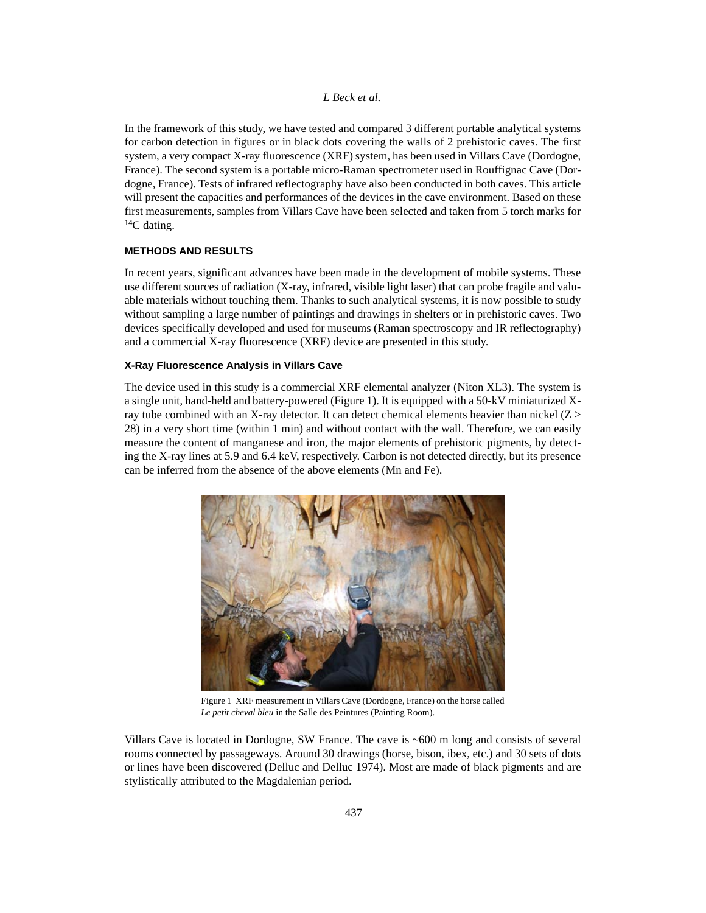In the framework of this study, we have tested and compared 3 different portable analytical systems for carbon detection in figures or in black dots covering the walls of 2 prehistoric caves. The first system, a very compact X-ray fluorescence (XRF) system, has been used in Villars Cave (Dordogne, France). The second system is a portable micro-Raman spectrometer used in Rouffignac Cave (Dordogne, France). Tests of infrared reflectography have also been conducted in both caves. This article will present the capacities and performances of the devices in the cave environment. Based on these first measurements, samples from Villars Cave have been selected and taken from 5 torch marks for  ${}^{14}C$  dating.

## **METHODS AND RESULTS**

In recent years, significant advances have been made in the development of mobile systems. These use different sources of radiation (X-ray, infrared, visible light laser) that can probe fragile and valuable materials without touching them. Thanks to such analytical systems, it is now possible to study without sampling a large number of paintings and drawings in shelters or in prehistoric caves. Two devices specifically developed and used for museums (Raman spectroscopy and IR reflectography) and a commercial X-ray fluorescence (XRF) device are presented in this study.

## **X-Ray Fluorescence Analysis in Villars Cave**

The device used in this study is a commercial XRF elemental analyzer (Niton XL3). The system is a single unit, hand-held and battery-powered (Figure 1). It is equipped with a 50-kV miniaturized Xray tube combined with an X-ray detector. It can detect chemical elements heavier than nickel  $(Z >$ 28) in a very short time (within 1 min) and without contact with the wall. Therefore, we can easily measure the content of manganese and iron, the major elements of prehistoric pigments, by detecting the X-ray lines at 5.9 and 6.4 keV, respectively. Carbon is not detected directly, but its presence can be inferred from the absence of the above elements (Mn and Fe).



Figure 1 XRF measurement in Villars Cave (Dordogne, France) on the horse called *Le petit cheval bleu* in the Salle des Peintures (Painting Room).

Villars Cave is located in Dordogne, SW France. The cave is ~600 m long and consists of several rooms connected by passageways. Around 30 drawings (horse, bison, ibex, etc.) and 30 sets of dots or lines have been discovered (Delluc and Delluc 1974). Most are made of black pigments and are stylistically attributed to the Magdalenian period.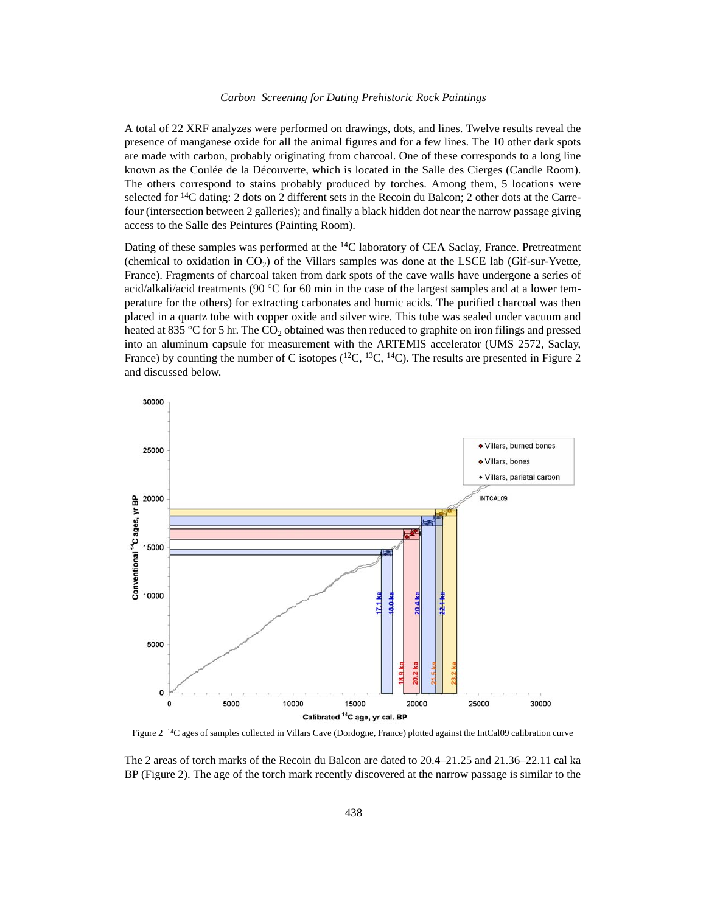## *Carbon Screening for Dating Prehistoric Rock Paintings*

A total of 22 XRF analyzes were performed on drawings, dots, and lines. Twelve results reveal the presence of manganese oxide for all the animal figures and for a few lines. The 10 other dark spots are made with carbon, probably originating from charcoal. One of these corresponds to a long line known as the Coulée de la Découverte, which is located in the Salle des Cierges (Candle Room). The others correspond to stains probably produced by torches. Among them, 5 locations were selected for  $^{14}C$  dating: 2 dots on 2 different sets in the Recoin du Balcon; 2 other dots at the Carrefour (intersection between 2 galleries); and finally a black hidden dot near the narrow passage giving access to the Salle des Peintures (Painting Room).

Dating of these samples was performed at the <sup>14</sup>C laboratory of CEA Saclay, France. Pretreatment (chemical to oxidation in  $CO<sub>2</sub>$ ) of the Villars samples was done at the LSCE lab (Gif-sur-Yvette, France). Fragments of charcoal taken from dark spots of the cave walls have undergone a series of acid/alkali/acid treatments (90  $\degree$ C for 60 min in the case of the largest samples and at a lower temperature for the others) for extracting carbonates and humic acids. The purified charcoal was then placed in a quartz tube with copper oxide and silver wire. This tube was sealed under vacuum and heated at 835 °C for 5 hr. The  $CO<sub>2</sub>$  obtained was then reduced to graphite on iron filings and pressed into an aluminum capsule for measurement with the ARTEMIS accelerator (UMS 2572, Saclay, France) by counting the number of C isotopes  $(^{12}C, ^{13}C, ^{14}C)$ . The results are presented in Figure 2 and discussed below.



Figure 2 14C ages of samples collected in Villars Cave (Dordogne, France) plotted against the IntCal09 calibration curve

The 2 areas of torch marks of the Recoin du Balcon are dated to 20.4–21.25 and 21.36–22.11 cal ka BP (Figure 2). The age of the torch mark recently discovered at the narrow passage is similar to the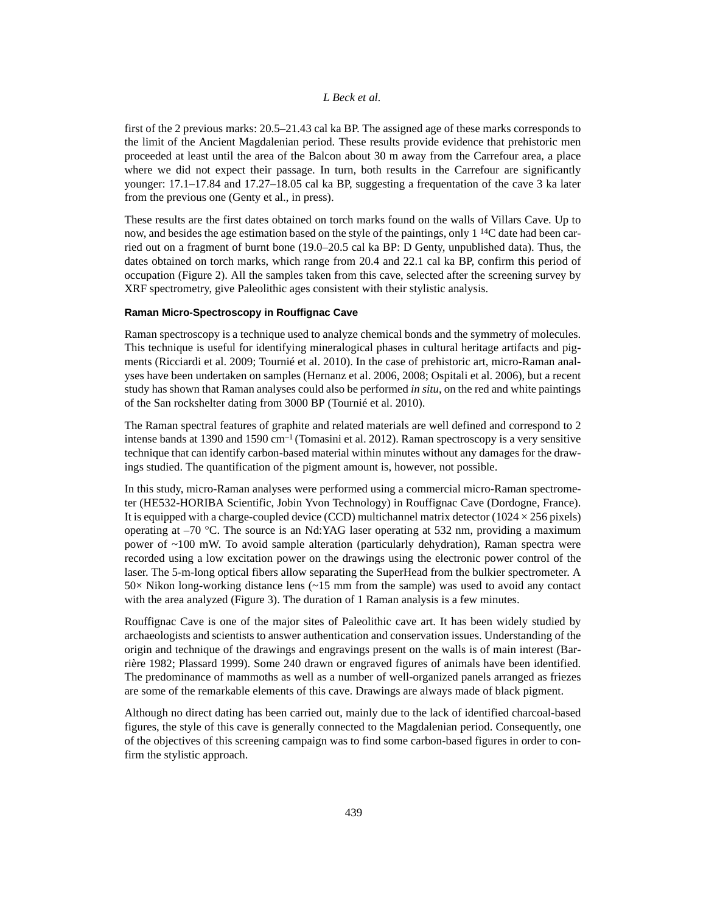first of the 2 previous marks: 20.5–21.43 cal ka BP. The assigned age of these marks corresponds to the limit of the Ancient Magdalenian period. These results provide evidence that prehistoric men proceeded at least until the area of the Balcon about 30 m away from the Carrefour area, a place where we did not expect their passage. In turn, both results in the Carrefour are significantly younger: 17.1–17.84 and 17.27–18.05 cal ka BP, suggesting a frequentation of the cave 3 ka later from the previous one (Genty et al., in press).

These results are the first dates obtained on torch marks found on the walls of Villars Cave. Up to now, and besides the age estimation based on the style of the paintings, only 1<sup>14</sup>C date had been carried out on a fragment of burnt bone (19.0–20.5 cal ka BP: D Genty, unpublished data). Thus, the dates obtained on torch marks, which range from 20.4 and 22.1 cal ka BP, confirm this period of occupation (Figure 2). All the samples taken from this cave, selected after the screening survey by XRF spectrometry, give Paleolithic ages consistent with their stylistic analysis.

### **Raman Micro-Spectroscopy in Rouffignac Cave**

Raman spectroscopy is a technique used to analyze chemical bonds and the symmetry of molecules. This technique is useful for identifying mineralogical phases in cultural heritage artifacts and pigments (Ricciardi et al. 2009; Tournié et al. 2010). In the case of prehistoric art, micro-Raman analyses have been undertaken on samples (Hernanz et al. 2006, 2008; Ospitali et al. 2006), but a recent study has shown that Raman analyses could also be performed *in situ*, on the red and white paintings of the San rockshelter dating from 3000 BP (Tournié et al. 2010).

The Raman spectral features of graphite and related materials are well defined and correspond to 2 intense bands at 1390 and 1590 cm<sup>-1</sup> (Tomasini et al. 2012). Raman spectroscopy is a very sensitive technique that can identify carbon-based material within minutes without any damages for the drawings studied. The quantification of the pigment amount is, however, not possible.

In this study, micro-Raman analyses were performed using a commercial micro-Raman spectrometer (HE532-HORIBA Scientific, Jobin Yvon Technology) in Rouffignac Cave (Dordogne, France). It is equipped with a charge-coupled device (CCD) multichannel matrix detector ( $1024 \times 256$  pixels) operating at  $-70$  °C. The source is an Nd:YAG laser operating at 532 nm, providing a maximum power of ~100 mW. To avoid sample alteration (particularly dehydration), Raman spectra were recorded using a low excitation power on the drawings using the electronic power control of the laser. The 5-m-long optical fibers allow separating the SuperHead from the bulkier spectrometer. A  $50\times$  Nikon long-working distance lens ( $\sim$ 15 mm from the sample) was used to avoid any contact with the area analyzed (Figure 3). The duration of 1 Raman analysis is a few minutes.

Rouffignac Cave is one of the major sites of Paleolithic cave art. It has been widely studied by archaeologists and scientists to answer authentication and conservation issues. Understanding of the origin and technique of the drawings and engravings present on the walls is of main interest (Barrière 1982; Plassard 1999). Some 240 drawn or engraved figures of animals have been identified. The predominance of mammoths as well as a number of well-organized panels arranged as friezes are some of the remarkable elements of this cave. Drawings are always made of black pigment.

Although no direct dating has been carried out, mainly due to the lack of identified charcoal-based figures, the style of this cave is generally connected to the Magdalenian period. Consequently, one of the objectives of this screening campaign was to find some carbon-based figures in order to confirm the stylistic approach.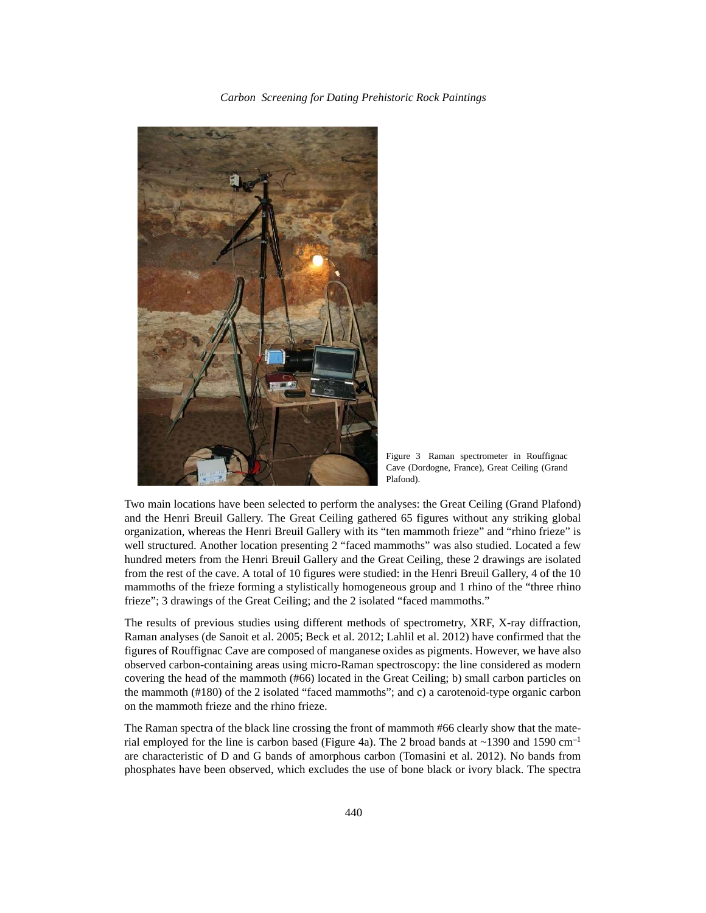*Carbon Screening for Dating Prehistoric Rock Paintings*



Figure 3 Raman spectrometer in Rouffignac Cave (Dordogne, France), Great Ceiling (Grand Plafond).

Two main locations have been selected to perform the analyses: the Great Ceiling (Grand Plafond) and the Henri Breuil Gallery. The Great Ceiling gathered 65 figures without any striking global organization, whereas the Henri Breuil Gallery with its "ten mammoth frieze" and "rhino frieze" is well structured. Another location presenting 2 "faced mammoths" was also studied. Located a few hundred meters from the Henri Breuil Gallery and the Great Ceiling, these 2 drawings are isolated from the rest of the cave. A total of 10 figures were studied: in the Henri Breuil Gallery, 4 of the 10 mammoths of the frieze forming a stylistically homogeneous group and 1 rhino of the "three rhino frieze"; 3 drawings of the Great Ceiling; and the 2 isolated "faced mammoths."

The results of previous studies using different methods of spectrometry, XRF, X-ray diffraction, Raman analyses (de Sanoit et al. 2005; Beck et al. 2012; Lahlil et al. 2012) have confirmed that the figures of Rouffignac Cave are composed of manganese oxides as pigments. However, we have also observed carbon-containing areas using micro-Raman spectroscopy: the line considered as modern covering the head of the mammoth (#66) located in the Great Ceiling; b) small carbon particles on the mammoth (#180) of the 2 isolated "faced mammoths"; and c) a carotenoid-type organic carbon on the mammoth frieze and the rhino frieze.

The Raman spectra of the black line crossing the front of mammoth #66 clearly show that the material employed for the line is carbon based (Figure 4a). The 2 broad bands at  $\sim$ 1390 and 1590 cm<sup>-1</sup> are characteristic of D and G bands of amorphous carbon (Tomasini et al. 2012). No bands from phosphates have been observed, which excludes the use of bone black or ivory black. The spectra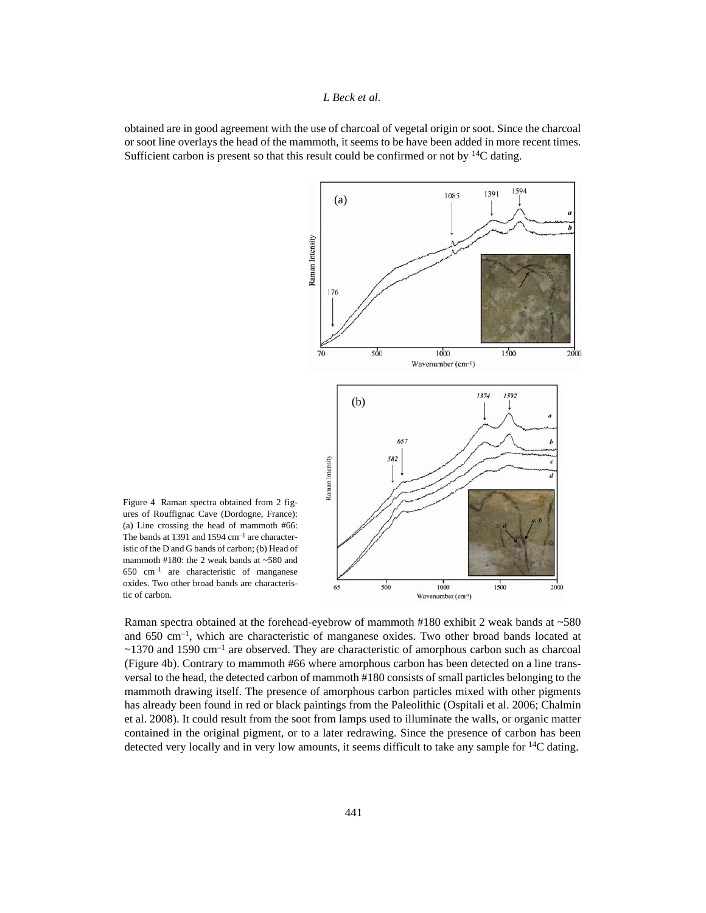obtained are in good agreement with the use of charcoal of vegetal origin or soot. Since the charcoal or soot line overlays the head of the mammoth, it seems to be have been added in more recent times. Sufficient carbon is present so that this result could be confirmed or not by 14C dating.



Figure 4 Raman spectra obtained from 2 figures of Rouffignac Cave (Dordogne, France): (a) Line crossing the head of mammoth #66: The bands at 1391 and 1594 cm–1 are characteristic of the D and G bands of carbon; (b) Head of mammoth #180: the 2 weak bands at  $~580$  and 650 cm–1 are characteristic of manganese oxides. Two other broad bands are characteristic of carbon.

Raman spectra obtained at the forehead-eyebrow of mammoth #180 exhibit 2 weak bands at ~580 and 650 cm–1, which are characteristic of manganese oxides. Two other broad bands located at  $\sim$ 1370 and 1590 cm<sup>-1</sup> are observed. They are characteristic of amorphous carbon such as charcoal (Figure 4b). Contrary to mammoth #66 where amorphous carbon has been detected on a line transversal to the head, the detected carbon of mammoth #180 consists of small particles belonging to the mammoth drawing itself. The presence of amorphous carbon particles mixed with other pigments has already been found in red or black paintings from the Paleolithic (Ospitali et al. 2006; Chalmin et al. 2008). It could result from the soot from lamps used to illuminate the walls, or organic matter contained in the original pigment, or to a later redrawing. Since the presence of carbon has been detected very locally and in very low amounts, it seems difficult to take any sample for <sup>14</sup>C dating.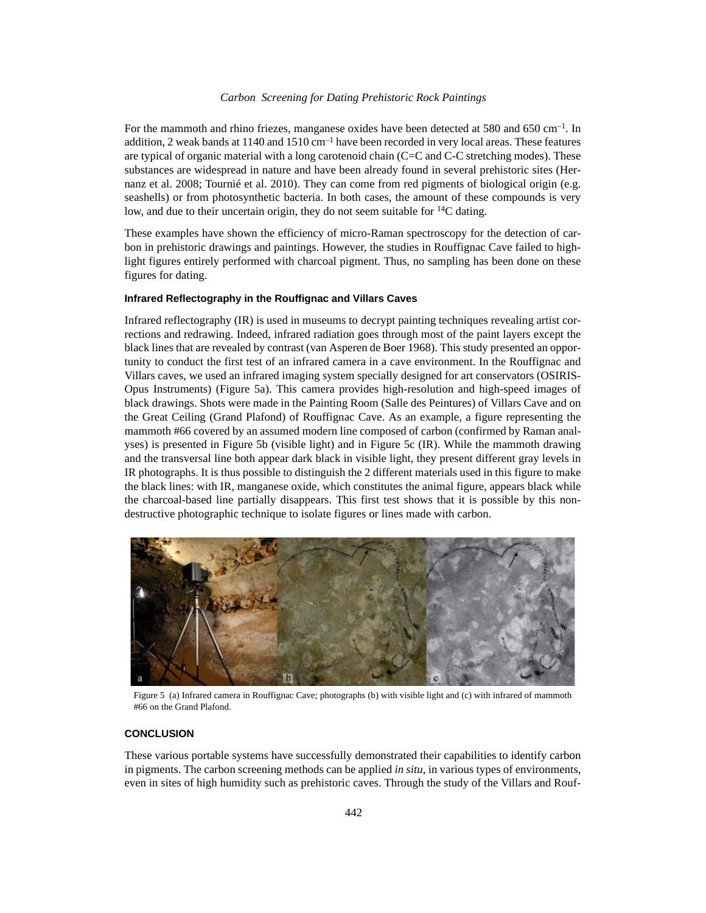## *Carbon Screening for Dating Prehistoric Rock Paintings*

For the mammoth and rhino friezes, manganese oxides have been detected at 580 and 650 cm<sup>-1</sup>. In addition, 2 weak bands at 1140 and 1510 cm<sup>-1</sup> have been recorded in very local areas. These features are typical of organic material with a long carotenoid chain (C=C and C-C stretching modes). These substances are widespread in nature and have been already found in several prehistoric sites (Hernanz et al. 2008; Tournié et al. 2010). They can come from red pigments of biological origin (e.g. seashells) or from photosynthetic bacteria. In both cases, the amount of these compounds is very low, and due to their uncertain origin, they do not seem suitable for 14C dating.

These examples have shown the efficiency of micro-Raman spectroscopy for the detection of carbon in prehistoric drawings and paintings. However, the studies in Rouffignac Cave failed to highlight figures entirely performed with charcoal pigment. Thus, no sampling has been done on these figures for dating.

## **Infrared Reflectography in the Rouffignac and Villars Caves**

Infrared reflectography (IR) is used in museums to decrypt painting techniques revealing artist corrections and redrawing. Indeed, infrared radiation goes through most of the paint layers except the black lines that are revealed by contrast (van Asperen de Boer 1968). This study presented an opportunity to conduct the first test of an infrared camera in a cave environment. In the Rouffignac and Villars caves, we used an infrared imaging system specially designed for art conservators (OSIRIS-Opus Instruments) (Figure 5a). This camera provides high-resolution and high-speed images of black drawings. Shots were made in the Painting Room (Salle des Peintures) of Villars Cave and on the Great Ceiling (Grand Plafond) of Rouffignac Cave. As an example, a figure representing the mammoth #66 covered by an assumed modern line composed of carbon (confirmed by Raman analyses) is presented in Figure 5b (visible light) and in Figure 5c (IR). While the mammoth drawing and the transversal line both appear dark black in visible light, they present different gray levels in IR photographs. It is thus possible to distinguish the 2 different materials used in this figure to make the black lines: with IR, manganese oxide, which constitutes the animal figure, appears black while the charcoal-based line partially disappears. This first test shows that it is possible by this nondestructive photographic technique to isolate figures or lines made with carbon.



Figure 5 (a) Infrared camera in Rouffignac Cave; photographs (b) with visible light and (c) with infrared of mammoth #66 on the Grand Plafond.

#### **CONCLUSION**

These various portable systems have successfully demonstrated their capabilities to identify carbon in pigments. The carbon screening methods can be applied *in situ*, in various types of environments, even in sites of high humidity such as prehistoric caves. Through the study of the Villars and Rouf-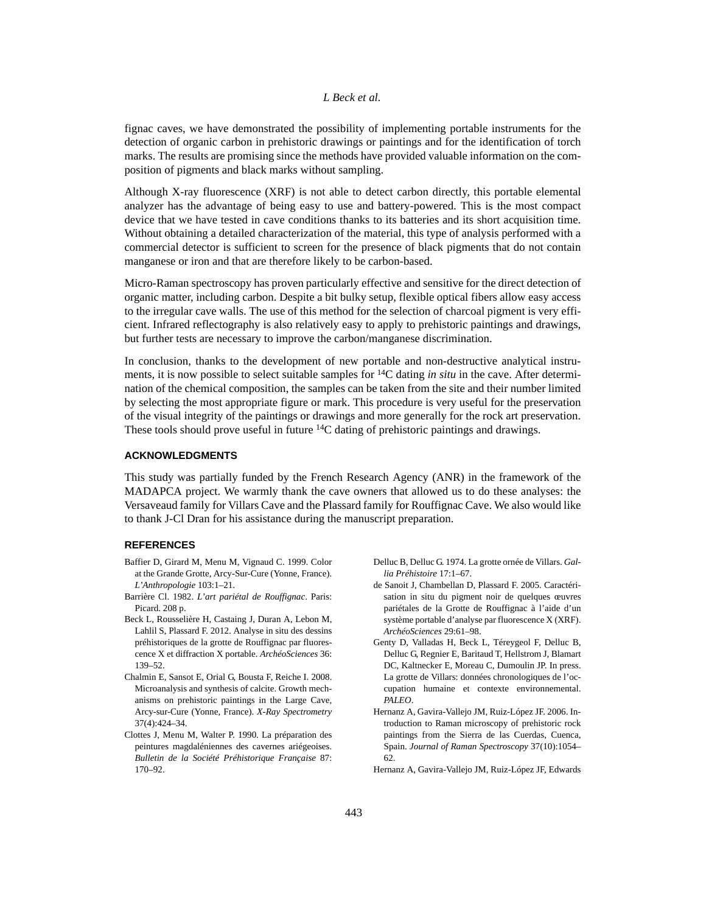fignac caves, we have demonstrated the possibility of implementing portable instruments for the detection of organic carbon in prehistoric drawings or paintings and for the identification of torch marks. The results are promising since the methods have provided valuable information on the composition of pigments and black marks without sampling.

Although X-ray fluorescence (XRF) is not able to detect carbon directly, this portable elemental analyzer has the advantage of being easy to use and battery-powered. This is the most compact device that we have tested in cave conditions thanks to its batteries and its short acquisition time. Without obtaining a detailed characterization of the material, this type of analysis performed with a commercial detector is sufficient to screen for the presence of black pigments that do not contain manganese or iron and that are therefore likely to be carbon-based.

Micro-Raman spectroscopy has proven particularly effective and sensitive for the direct detection of organic matter, including carbon. Despite a bit bulky setup, flexible optical fibers allow easy access to the irregular cave walls. The use of this method for the selection of charcoal pigment is very efficient. Infrared reflectography is also relatively easy to apply to prehistoric paintings and drawings, but further tests are necessary to improve the carbon/manganese discrimination.

In conclusion, thanks to the development of new portable and non-destructive analytical instruments, it is now possible to select suitable samples for 14C dating *in situ* in the cave. After determination of the chemical composition, the samples can be taken from the site and their number limited by selecting the most appropriate figure or mark. This procedure is very useful for the preservation of the visual integrity of the paintings or drawings and more generally for the rock art preservation. These tools should prove useful in future <sup>14</sup>C dating of prehistoric paintings and drawings.

## **ACKNOWLEDGMENTS**

This study was partially funded by the French Research Agency (ANR) in the framework of the MADAPCA project. We warmly thank the cave owners that allowed us to do these analyses: the Versaveaud family for Villars Cave and the Plassard family for Rouffignac Cave. We also would like to thank J-Cl Dran for his assistance during the manuscript preparation.

## **REFERENCES**

- Baffier D, Girard M, Menu M, Vignaud C. 1999. Color at the Grande Grotte, Arcy-Sur-Cure (Yonne, France). *L'Anthropologie* 103:1–21.
- Barrière Cl. 1982. *L'art pariétal de Rouffignac*. Paris: Picard. 208 p.
- Beck L, Rousselière H, Castaing J, Duran A, Lebon M, Lahlil S, Plassard F. 2012. Analyse in situ des dessins préhistoriques de la grotte de Rouffignac par fluorescence X et diffraction X portable. *ArchéoSciences* 36: 139–52.
- Chalmin E, Sansot E, Orial G, Bousta F, Reiche I. 2008. Microanalysis and synthesis of calcite. Growth mechanisms on prehistoric paintings in the Large Cave, Arcy-sur-Cure (Yonne, France). *X-Ray Spectrometry* 37(4):424–34.
- Clottes J, Menu M, Walter P. 1990. La préparation des peintures magdaléniennes des cavernes ariégeoises. *Bulletin de la Société Préhistorique Française* 87: 170–92.
- Delluc B, Delluc G. 1974. La grotte ornée de Villars. *Gallia Préhistoire* 17:1–67.
- de Sanoit J, Chambellan D, Plassard F. 2005. Caractérisation in situ du pigment noir de quelques œuvres pariétales de la Grotte de Rouffignac à l'aide d'un système portable d'analyse par fluorescence X (XRF). *ArchéoSciences* 29:61–98.
- Genty D, Valladas H, Beck L, Téreygeol F, Delluc B, Delluc G, Regnier E, Baritaud T, Hellstrom J, Blamart DC, Kaltnecker E, Moreau C, Dumoulin JP. In press. La grotte de Villars: données chronologiques de l'occupation humaine et contexte environnemental. *PALEO*.
- Hernanz A, Gavira-Vallejo JM, Ruiz-López JF. 2006. Introduction to Raman microscopy of prehistoric rock paintings from the Sierra de las Cuerdas, Cuenca, Spain. *Journal of Raman Spectroscopy* 37(10):1054– 62.

Hernanz A, Gavira-Vallejo JM, Ruiz-López JF, Edwards